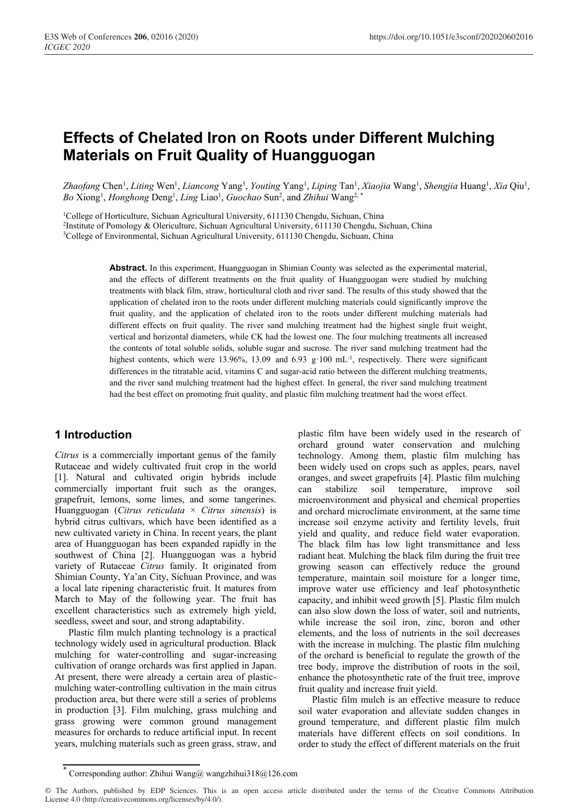# **Effects of Chelated Iron on Roots under Different Mulching Materials on Fruit Quality of Huangguogan**

Zhaofang Chen<sup>1</sup>, Liting Wen<sup>1</sup>, Liancong Yang<sup>3</sup>, Youting Yang<sup>1</sup>, Liping Tan<sup>1</sup>, Xiaojia Wang<sup>1</sup>, Shengjia Huang<sup>1</sup>, Xia Qiu<sup>1</sup>, Bo Xiong<sup>1</sup>, *Honghong* Deng<sup>1</sup>, *Ling* Liao<sup>1</sup>, *Guochao* Sun<sup>2</sup>, and *Zhihui* Wang<sup>2,\*</sup>

<sup>1</sup>College of Horticulture, Sichuan Agricultural University, 611130 Chengdu, Sichuan, China<br><sup>2</sup>Institute of Pomology & Olericulture, Sichuan Agricultural University, 611130 Chengdu, Sichuan, China<br><sup>3</sup>College of Environment

**Abstract.** In this experiment, Huangguogan in Shimian County was selected as the experimental material, and the effects of different treatments on the fruit quality of Huangguogan were studied by mulching treatments with black film, straw, horticultural cloth and river sand. The results of this study showed that the application of chelated iron to the roots under different mulching materials could significantly improve the fruit quality, and the application of chelated iron to the roots under different mulching materials had different effects on fruit quality. The river sand mulching treatment had the highest single fruit weight, vertical and horizontal diameters, while CK had the lowest one. The four mulching treatments all increased the contents of total soluble solids, soluble sugar and sucrose. The river sand mulching treatment had the highest contents, which were 13.96%, 13.09 and 6.93 g $\cdot$ 100 mL<sup>-1</sup>, respectively. There were significant differences in the titratable acid, vitamins C and sugar-acid ratio between the different mulching treatments, and the river sand mulching treatment had the highest effect. In general, the river sand mulching treatment had the best effect on promoting fruit quality, and plastic film mulching treatment had the worst effect.

#### **1 Introduction**

*Citrus* is a commercially important genus of the family Rutaceae and widely cultivated fruit crop in the world [1]. Natural and cultivated origin hybrids include commercially important fruit such as the oranges, grapefruit, lemons, some limes, and some tangerines. Huangguogan (*Citrus reticulata* × *Citrus sinensis*) is hybrid citrus cultivars, which have been identified as a new cultivated variety in China. In recent years, the plant area of Huangguogan has been expanded rapidly in the southwest of China [2]. Huangguogan was a hybrid variety of Rutaceae *Citrus* family. It originated from Shimian County, Ya'an City, Sichuan Province, and was a local late ripening characteristic fruit. It matures from March to May of the following year. The fruit has excellent characteristics such as extremely high yield, seedless, sweet and sour, and strong adaptability.

Plastic film mulch planting technology is a practical technology widely used in agricultural production. Black mulching for water-controlling and sugar-increasing cultivation of orange orchards was first applied in Japan. At present, there were already a certain area of plasticmulching water-controlling cultivation in the main citrus production area, but there were still a series of problems in production [3]. Film mulching, grass mulching and grass growing were common ground management measures for orchards to reduce artificial input. In recent years, mulching materials such as green grass, straw, and

plastic film have been widely used in the research of orchard ground water conservation and mulching technology. Among them, plastic film mulching has been widely used on crops such as apples, pears, navel oranges, and sweet grapefruits [4]. Plastic film mulching can stabilize soil temperature, improve soil microenvironment and physical and chemical properties and orchard microclimate environment, at the same time increase soil enzyme activity and fertility levels, fruit yield and quality, and reduce field water evaporation. The black film has low light transmittance and less radiant heat. Mulching the black film during the fruit tree growing season can effectively reduce the ground temperature, maintain soil moisture for a longer time, improve water use efficiency and leaf photosynthetic capacity, and inhibit weed growth [5]. Plastic film mulch can also slow down the loss of water, soil and nutrients, while increase the soil iron, zinc, boron and other elements, and the loss of nutrients in the soil decreases with the increase in mulching. The plastic film mulching of the orchard is beneficial to regulate the growth of the tree body, improve the distribution of roots in the soil, enhance the photosynthetic rate of the fruit tree, improve fruit quality and increase fruit yield.

Plastic film mulch is an effective measure to reduce soil water evaporation and alleviate sudden changes in ground temperature, and different plastic film mulch materials have different effects on soil conditions. In order to study the effect of different materials on the fruit

<sup>\*</sup> Corresponding author: Zhihui Wang@ wangzhihui318@126.com

<sup>©</sup> The Authors, published by EDP Sciences. This is an open access article distributed under the terms of the Creative Commons Attribution License 4.0 (http://creativecommons.org/licenses/by/4.0/).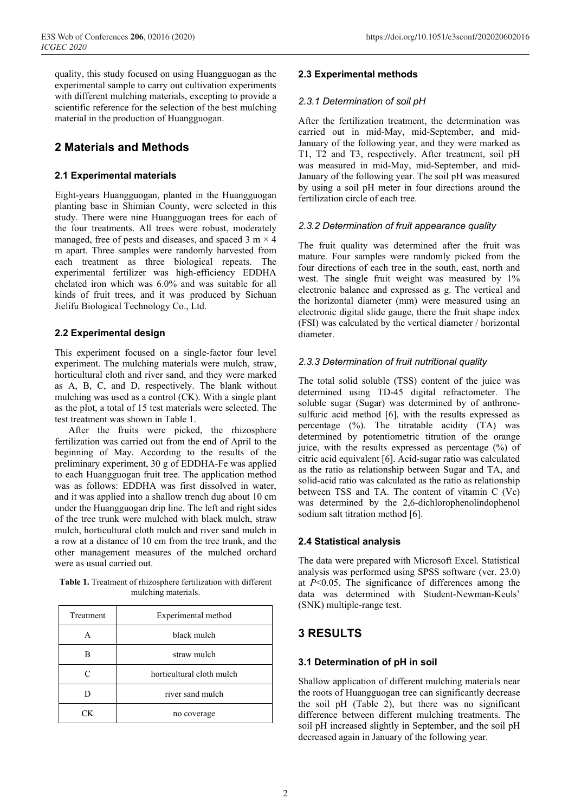quality, this study focused on using Huangguogan as the experimental sample to carry out cultivation experiments with different mulching materials, excepting to provide a scientific reference for the selection of the best mulching material in the production of Huangguogan.

# **2 Materials and Methods**

#### **2.1 Experimental materials**

Eight-years Huangguogan, planted in the Huangguogan planting base in Shimian County, were selected in this study. There were nine Huangguogan trees for each of the four treatments. All trees were robust, moderately managed, free of pests and diseases, and spaced  $3 \text{ m} \times 4$ m apart. Three samples were randomly harvested from each treatment as three biological repeats. The experimental fertilizer was high-efficiency EDDHA chelated iron which was 6.0% and was suitable for all kinds of fruit trees, and it was produced by Sichuan Jielifu Biological Technology Co., Ltd.

#### **2.2 Experimental design**

This experiment focused on a single-factor four level experiment. The mulching materials were mulch, straw, horticultural cloth and river sand, and they were marked as A, B, C, and D, respectively. The blank without mulching was used as a control (CK). With a single plant as the plot, a total of 15 test materials were selected. The test treatment was shown in Table 1.

After the fruits were picked, the rhizosphere fertilization was carried out from the end of April to the beginning of May. According to the results of the preliminary experiment, 30 g of EDDHA-Fe was applied to each Huangguogan fruit tree. The application method was as follows: EDDHA was first dissolved in water, and it was applied into a shallow trench dug about 10 cm under the Huangguogan drip line. The left and right sides of the tree trunk were mulched with black mulch, straw mulch, horticultural cloth mulch and river sand mulch in a row at a distance of 10 cm from the tree trunk, and the other management measures of the mulched orchard were as usual carried out.

**Table 1.** Treatment of rhizosphere fertilization with different mulching materials.

| Treatment | Experimental method       |  |  |  |
|-----------|---------------------------|--|--|--|
| А         | black mulch               |  |  |  |
|           | straw mulch               |  |  |  |
| ⊂         | horticultural cloth mulch |  |  |  |
|           | river sand mulch          |  |  |  |
| CК        | no coverage               |  |  |  |

#### **2.3 Experimental methods**

#### *2.3.1 Determination of soil pH*

After the fertilization treatment, the determination was carried out in mid-May, mid-September, and mid-January of the following year, and they were marked as T1, T2 and T3, respectively. After treatment, soil pH was measured in mid-May, mid-September, and mid-January of the following year. The soil pH was measured by using a soil pH meter in four directions around the fertilization circle of each tree.

#### *2.3.2 Determination of fruit appearance quality*

The fruit quality was determined after the fruit was mature. Four samples were randomly picked from the four directions of each tree in the south, east, north and west. The single fruit weight was measured by 1% electronic balance and expressed as g. The vertical and the horizontal diameter (mm) were measured using an electronic digital slide gauge, there the fruit shape index (FSI) was calculated by the vertical diameter / horizontal diameter.

#### *2.3.3 Determination of fruit nutritional quality*

The total solid soluble (TSS) content of the juice was determined using TD-45 digital refractometer. The soluble sugar (Sugar) was determined by of anthronesulfuric acid method [6], with the results expressed as percentage (%). The titratable acidity (TA) was determined by potentiometric titration of the orange juice, with the results expressed as percentage (%) of citric acid equivalent [6]. Acid-sugar ratio was calculated as the ratio as relationship between Sugar and TA, and solid-acid ratio was calculated as the ratio as relationship between TSS and TA. The content of vitamin C (Vc) was determined by the 2,6-dichlorophenolindophenol sodium salt titration method [6].

#### **2.4 Statistical analysis**

The data were prepared with Microsoft Excel. Statistical analysis was performed using SPSS software (ver. 23.0) at *P*<0.05. The significance of differences among the data was determined with Student-Newman-Keuls' (SNK) multiple-range test.

## **3 RESULTS**

#### **3.1 Determination of pH in soil**

Shallow application of different mulching materials near the roots of Huangguogan tree can significantly decrease the soil pH (Table 2), but there was no significant difference between different mulching treatments. The soil pH increased slightly in September, and the soil pH decreased again in January of the following year.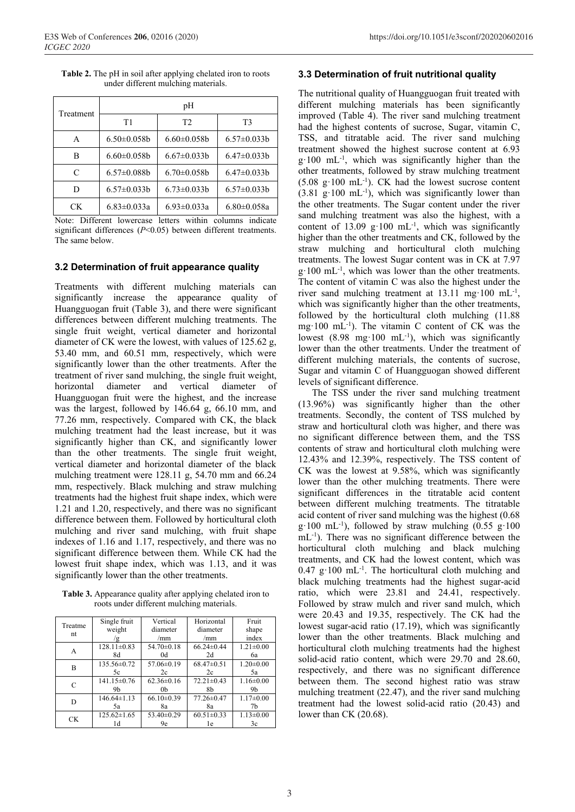| Treatment | pH                 |                    |                    |  |  |
|-----------|--------------------|--------------------|--------------------|--|--|
|           | T1                 | T <sub>2</sub>     | T <sub>3</sub>     |  |  |
| A         | $6.50 \pm 0.058$   | $6.60 \pm 0.058$   | $6.57 \pm 0.033 b$ |  |  |
| в         | $6.60 \pm 0.058$   | $6.67 \pm 0.033 b$ | $6.47 \pm 0.033 b$ |  |  |
| C         | $6.57 \pm 0.088$ b | $6.70 \pm 0.058$   | $6.47 \pm 0.033 b$ |  |  |
| D         | $6.57 \pm 0.033 b$ | $6.73 \pm 0.033 b$ | $6.57 \pm 0.033 b$ |  |  |
| СK        | $6.83 \pm 0.033a$  | $6.93 \pm 0.033a$  | $6.80 \pm 0.058$ a |  |  |

**Table 2.** The pH in soil after applying chelated iron to roots under different mulching materials.

Note: Different lowercase letters within columns indicate significant differences (*P*<0.05) between different treatments. The same below.

#### **3.2 Determination of fruit appearance quality**

Treatments with different mulching materials can significantly increase the appearance quality of Huangguogan fruit (Table 3), and there were significant differences between different mulching treatments. The single fruit weight, vertical diameter and horizontal diameter of CK were the lowest, with values of 125.62 g, 53.40 mm, and 60.51 mm, respectively, which were significantly lower than the other treatments. After the treatment of river sand mulching, the single fruit weight, horizontal diameter and vertical diameter of Huangguogan fruit were the highest, and the increase was the largest, followed by 146.64 g, 66.10 mm, and 77.26 mm, respectively. Compared with CK, the black mulching treatment had the least increase, but it was significantly higher than CK, and significantly lower than the other treatments. The single fruit weight, vertical diameter and horizontal diameter of the black mulching treatment were 128.11 g, 54.70 mm and 66.24 mm, respectively. Black mulching and straw mulching treatments had the highest fruit shape index, which were 1.21 and 1.20, respectively, and there was no significant difference between them. Followed by horticultural cloth mulching and river sand mulching, with fruit shape indexes of 1.16 and 1.17, respectively, and there was no significant difference between them. While CK had the lowest fruit shape index, which was 1.13, and it was significantly lower than the other treatments.

**Table 3.** Appearance quality after applying chelated iron to roots under different mulching materials.

|               | Single fruit      | Vertical         | Horizontal       | Fruit           |
|---------------|-------------------|------------------|------------------|-----------------|
| Treatme<br>nt | weight            | diameter         | diameter         | shape           |
|               | g                 | /mm              | /mm              | index           |
| A             | $128.11 \pm 0.83$ | $54.70 \pm 0.18$ | $66.24 \pm 0.44$ | $1.21 \pm 0.00$ |
|               | 8d                | 0d               | 2d               | 6а              |
| В             | 135.56±0.72       | $57.06 \pm 0.19$ | $68.47\pm0.51$   | $1.20 \pm 0.00$ |
|               | 5c                | 2c               | 2c               | 5a              |
| C             | $141.15 \pm 0.76$ | $62.36 \pm 0.16$ | $72.21 \pm 0.43$ | $1.16 \pm 0.00$ |
|               | 9b                | 0 <sub>b</sub>   | 8b               | 9b              |
| D             | $146.64\pm1.13$   | $66.10 \pm 0.39$ | $77.26 \pm 0.47$ | $1.17 \pm 0.00$ |
|               | 5a                | 8a               | 8a               | 7h              |
| CK.           | $125.62 \pm 1.65$ | $53.40 \pm 0.29$ | $60.51 \pm 0.33$ | $1.13 \pm 0.00$ |
|               | 1d                | 9e               | 1e               | 3c              |

#### **3.3 Determination of fruit nutritional quality**

The nutritional quality of Huangguogan fruit treated with different mulching materials has been significantly improved (Table 4). The river sand mulching treatment had the highest contents of sucrose, Sugar, vitamin C, TSS, and titratable acid. The river sand mulching treatment showed the highest sucrose content at 6.93  $g \cdot 100$  mL<sup>-1</sup>, which was significantly higher than the other treatments, followed by straw mulching treatment  $(5.08 \text{ g} \cdot 100 \text{ mL}^{-1})$ . CK had the lowest sucrose content  $(3.81 \text{ g} \cdot 100 \text{ mL}^{-1})$ , which was significantly lower than the other treatments. The Sugar content under the river sand mulching treatment was also the highest, with a content of 13.09 g $\cdot$ 100 mL<sup>-1</sup>, which was significantly higher than the other treatments and CK, followed by the straw mulching and horticultural cloth mulching treatments. The lowest Sugar content was in CK at 7.97 g·100 mL<sup>-1</sup>, which was lower than the other treatments. The content of vitamin C was also the highest under the river sand mulching treatment at  $13.11 \text{ mg}\cdot 100 \text{ mL}^{-1}$ , which was significantly higher than the other treatments, followed by the horticultural cloth mulching (11.88 mg $\cdot 100$  mL<sup>-1</sup>). The vitamin C content of CK was the lowest  $(8.98 \text{ mg} \cdot 100 \text{ mL}^{-1})$ , which was significantly lower than the other treatments. Under the treatment of different mulching materials, the contents of sucrose, Sugar and vitamin C of Huangguogan showed different levels of significant difference.

The TSS under the river sand mulching treatment (13.96%) was significantly higher than the other treatments. Secondly, the content of TSS mulched by straw and horticultural cloth was higher, and there was no significant difference between them, and the TSS contents of straw and horticultural cloth mulching were 12.43% and 12.39%, respectively. The TSS content of CK was the lowest at 9.58%, which was significantly lower than the other mulching treatments. There were significant differences in the titratable acid content between different mulching treatments. The titratable acid content of river sand mulching was the highest (0.68  $g·100$  mL<sup>-1</sup>), followed by straw mulching (0.55  $g·100$ mL<sup>-1</sup>). There was no significant difference between the horticultural cloth mulching and black mulching treatments, and CK had the lowest content, which was  $0.47 \text{ g} \cdot 100 \text{ mL}^{-1}$ . The horticultural cloth mulching and black mulching treatments had the highest sugar-acid ratio, which were 23.81 and 24.41, respectively. Followed by straw mulch and river sand mulch, which were 20.43 and 19.35, respectively. The CK had the lowest sugar-acid ratio (17.19), which was significantly lower than the other treatments. Black mulching and horticultural cloth mulching treatments had the highest solid-acid ratio content, which were 29.70 and 28.60, respectively, and there was no significant difference between them. The second highest ratio was straw mulching treatment (22.47), and the river sand mulching treatment had the lowest solid-acid ratio (20.43) and lower than CK (20.68).